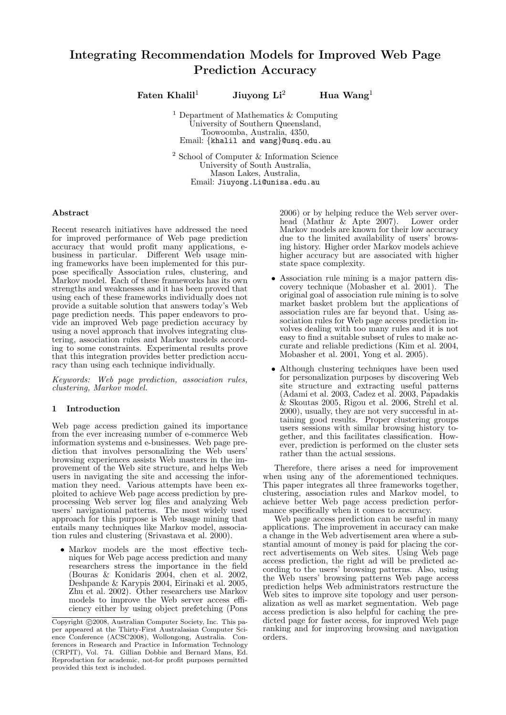# Integrating Recommendation Models for Improved Web Page Prediction Accuracy

Faten Khalil<sup>1</sup> Jiuyong Li<sup>2</sup> Hua Wang<sup>1</sup>

<sup>1</sup> Department of Mathematics & Computing University of Southern Queensland, Toowoomba, Australia, 4350, Email: {khalil and wang}@usq.edu.au

<sup>2</sup> School of Computer & Information Science University of South Australia, Mason Lakes, Australia, Email: Jiuyong.Li@unisa.edu.au

# Abstract

Recent research initiatives have addressed the need for improved performance of Web page prediction accuracy that would profit many applications, ebusiness in particular. Different Web usage mining frameworks have been implemented for this purpose specifically Association rules, clustering, and Markov model. Each of these frameworks has its own strengths and weaknesses and it has been proved that using each of these frameworks individually does not provide a suitable solution that answers today's Web page prediction needs. This paper endeavors to provide an improved Web page prediction accuracy by using a novel approach that involves integrating clustering, association rules and Markov models according to some constraints. Experimental results prove that this integration provides better prediction accuracy than using each technique individually.

Keywords: Web page prediction, association rules, clustering, Markov model.

## 1 Introduction

Web page access prediction gained its importance from the ever increasing number of e-commerce Web information systems and e-businesses. Web page prediction that involves personalizing the Web users' browsing experiences assists Web masters in the improvement of the Web site structure, and helps Web users in navigating the site and accessing the information they need. Various attempts have been exploited to achieve Web page access prediction by preprocessing Web server log files and analyzing Web users' navigational patterns. The most widely used approach for this purpose is Web usage mining that entails many techniques like Markov model, association rules and clustering (Srivastava et al. 2000).

• Markov models are the most effective techniques for Web page access prediction and many researchers stress the importance in the field (Bouras & Konidaris 2004, chen et al. 2002, Deshpande & Karypis 2004, Eirinaki et al. 2005, Zhu et al. 2002). Other researchers use Markov models to improve the Web server access efficiency either by using object prefetching (Pons 2006) or by helping reduce the Web server over-<br>head (Mathur  $\&$  Apte 2007). Lower order head (Mathur  $\&$  Apte 2007). Markov models are known for their low accuracy due to the limited availability of users' browsing history. Higher order Markov models achieve higher accuracy but are associated with higher state space complexity.

- Association rule mining is a major pattern discovery technique (Mobasher et al. 2001). The original goal of association rule mining is to solve market basket problem but the applications of association rules are far beyond that. Using association rules for Web page access prediction involves dealing with too many rules and it is not easy to find a suitable subset of rules to make accurate and reliable predictions (Kim et al. 2004, Mobasher et al. 2001, Yong et al. 2005).
- Although clustering techniques have been used for personalization purposes by discovering Web site structure and extracting useful patterns (Adami et al. 2003, Cadez et al. 2003, Papadakis & Skoutas 2005, Rigou et al. 2006, Strehl et al. 2000), usually, they are not very successful in attaining good results. Proper clustering groups users sessions with similar browsing history together, and this facilitates classification. However, prediction is performed on the cluster sets rather than the actual sessions.

Therefore, there arises a need for improvement when using any of the aforementioned techniques. This paper integrates all three frameworks together, clustering, association rules and Markov model, to achieve better Web page access prediction performance specifically when it comes to accuracy.

Web page access prediction can be useful in many applications. The improvement in accuracy can make a change in the Web advertisement area where a substantial amount of money is paid for placing the correct advertisements on Web sites. Using Web page access prediction, the right ad will be predicted according to the users' browsing patterns. Also, using the Web users' browsing patterns Web page access prediction helps Web administrators restructure the Web sites to improve site topology and user personalization as well as market segmentation. Web page access prediction is also helpful for caching the predicted page for faster access, for improved Web page ranking and for improving browsing and navigation orders.

Copyright ©2008, Australian Computer Society, Inc. This paper appeared at the Thirty-First Australasian Computer Science Conference (ACSC2008), Wollongong, Australia. Conferences in Research and Practice in Information Technology (CRPIT), Vol. 74. Gillian Dobbie and Bernard Mans, Ed. Reproduction for academic, not-for profit purposes permitted provided this text is included.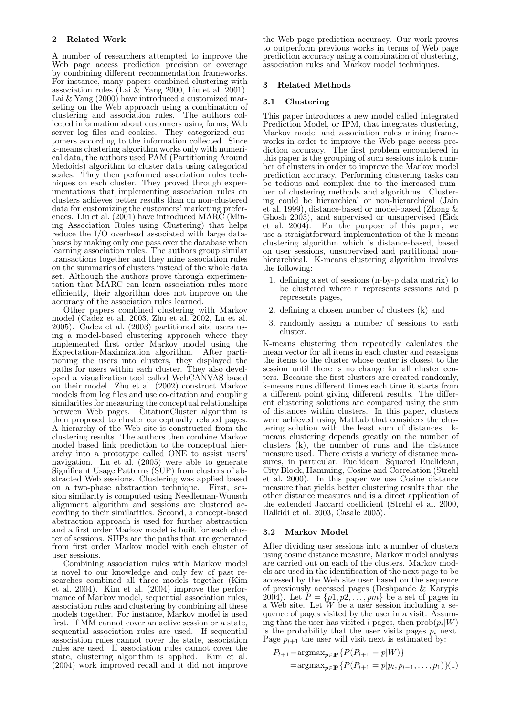# 2 Related Work

A number of researchers attempted to improve the Web page access prediction precision or coverage by combining different recommendation frameworks. For instance, many papers combined clustering with association rules (Lai  $\&$  Yang 2000, Liu et al. 2001). Lai & Yang (2000) have introduced a customized marketing on the Web approach using a combination of clustering and association rules. The authors collected information about customers using forms, Web server log files and cookies. They categorized customers according to the information collected. Since k-means clustering algorithm works only with numerical data, the authors used PAM (Partitioning Around Medoids) algorithm to cluster data using categorical scales. They then performed association rules techniques on each cluster. They proved through experimentations that implementing association rules on clusters achieves better results than on non-clustered data for customizing the customers' marketing preferences. Liu et al. (2001) have introduced MARC (Mining Association Rules using Clustering) that helps reduce the I/O overhead associated with large databases by making only one pass over the database when learning association rules. The authors group similar transactions together and they mine association rules on the summaries of clusters instead of the whole data set. Although the authors prove through experimentation that MARC can learn association rules more efficiently, their algorithm does not improve on the accuracy of the association rules learned.

Other papers combined clustering with Markov model (Cadez et al. 2003, Zhu et al. 2002, Lu et al. 2005). Cadez et al. (2003) partitioned site users using a model-based clustering approach where they implemented first order Markov model using the Expectation-Maximization algorithm. After partitioning the users into clusters, they displayed the paths for users within each cluster. They also developed a visualization tool called WebCANVAS based on their model. Zhu et al. (2002) construct Markov models from log files and use co-citation and coupling similarities for measuring the conceptual relationships between Web pages. CitationCluster algorithm is then proposed to cluster conceptually related pages. A hierarchy of the Web site is constructed from the clustering results. The authors then combine Markov model based link prediction to the conceptual hierarchy into a prototype called ONE to assist users' navigation. Lu et al. (2005) were able to generate Significant Usage Patterns (SUP) from clusters of abstracted Web sessions. Clustering was applied based on a two-phase abstraction technique. First, session similarity is computed using Needleman-Wunsch alignment algorithm and sessions are clustered according to their similarities. Second, a concept-based abstraction approach is used for further abstraction and a first order Markov model is built for each cluster of sessions. SUPs are the paths that are generated from first order Markov model with each cluster of user sessions.

Combining association rules with Markov model is novel to our knowledge and only few of past researches combined all three models together (Kim et al. 2004). Kim et al. (2004) improve the performance of Markov model, sequential association rules, association rules and clustering by combining all these models together. For instance, Markov model is used first. If MM cannot cover an active session or a state, sequential association rules are used. If sequential association rules cannot cover the state, association rules are used. If association rules cannot cover the state, clustering algorithm is applied. Kim et al. (2004) work improved recall and it did not improve the Web page prediction accuracy. Our work proves to outperform previous works in terms of Web page prediction accuracy using a combination of clustering, association rules and Markov model techniques.

# 3 Related Methods

## 3.1 Clustering

This paper introduces a new model called Integrated Prediction Model, or IPM, that integrates clustering, Markov model and association rules mining frameworks in order to improve the Web page access prediction accuracy. The first problem encountered in this paper is the grouping of such sessions into k number of clusters in order to improve the Markov model prediction accuracy. Performing clustering tasks can be tedious and complex due to the increased number of clustering methods and algorithms. Clustering could be hierarchical or non-hierarchical (Jain et al. 1999), distance-based or model-based (Zhong & Ghosh 2003), and supervised or unsupervised (Eick et al. 2004). For the purpose of this paper, we use a straightforward implementation of the k-means clustering algorithm which is distance-based, based on user sessions, unsupervised and partitional nonhierarchical. K-means clustering algorithm involves the following:

- 1. defining a set of sessions (n-by-p data matrix) to be clustered where n represents sessions and p represents pages,
- 2. defining a chosen number of clusters (k) and
- 3. randomly assign a number of sessions to each cluster.

K-means clustering then repeatedly calculates the mean vector for all items in each cluster and reassigns the items to the cluster whose center is closest to the session until there is no change for all cluster centers. Because the first clusters are created randomly, k-means runs different times each time it starts from a different point giving different results. The different clustering solutions are compared using the sum of distances within clusters. In this paper, clusters were achieved using MatLab that considers the clustering solution with the least sum of distances. kmeans clustering depends greatly on the number of clusters (k), the number of runs and the distance measure used. There exists a variety of distance measures, in particular, Euclidean, Squared Euclidean, City Block, Hamming, Cosine and Correlation (Strehl et al. 2000). In this paper we use Cosine distance measure that yields better clustering results than the other distance measures and is a direct application of the extended Jaccard coefficient (Strehl et al. 2000, Halkidi et al. 2003, Casale 2005).

## 3.2 Markov Model

After dividing user sessions into a number of clusters using cosine distance measure, Markov model analysis are carried out on each of the clusters. Markov models are used in the identification of the next page to be accessed by the Web site user based on the sequence of previously accessed pages (Deshpande & Karypis 2004). Let  $P = \{p1, p2, \ldots, pm\}$  be a set of pages in a Web site. Let  $\widetilde{W}$  be a user session including a sequence of pages visited by the user in a visit. Assuming that the user has visited l pages, then  $\text{prob}(p_i|W)$ is the probability that the user visits pages  $p_i$  next. Page  $p_{l+1}$  the user will visit next is estimated by:

$$
P_{l+1} = \operatorname*{argmax}_{p \in \mathbb{P}} \{ P(P_{l+1} = p|W) \}
$$
  
= 
$$
\operatorname*{argmax}_{p \in \mathbb{P}} \{ P(P_{l+1} = p|p_l, p_{l-1}, \dots, p_1) \} (1)
$$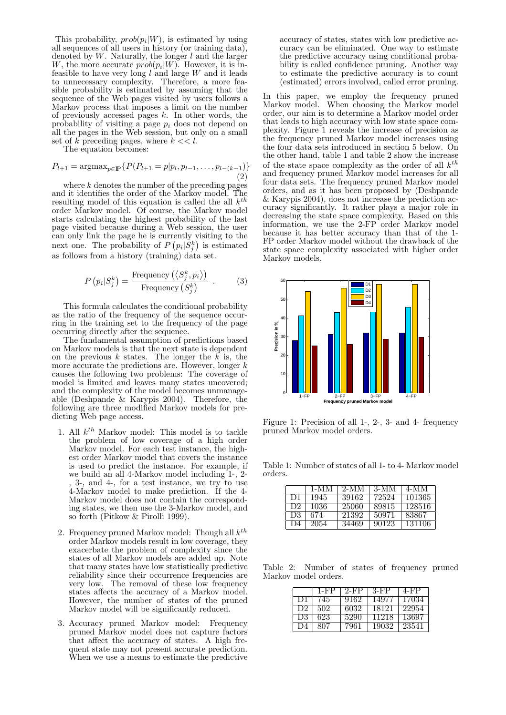This probability,  $prob(p_i|W)$ , is estimated by using all sequences of all users in history (or training data), denoted by  $W$ . Naturally, the longer  $l$  and the larger W, the more accurate  $prob(p_i|W)$ . However, it is infeasible to have very long  $l$  and large  $W$  and it leads to unnecessary complexity. Therefore, a more feasible probability is estimated by assuming that the sequence of the Web pages visited by users follows a Markov process that imposes a limit on the number of previously accessed pages  $k$ . In other words, the probability of visiting a page  $p_i$  does not depend on all the pages in the Web session, but only on a small set of k preceding pages, where  $k \ll l$ .

The equation becomes:

$$
P_{l+1} = \operatorname{argmax}_{p \in \mathbb{P}} \{ P(P_{l+1} = p | p_l, p_{l-1}, \dots, p_{l-(k-1)}) \}
$$
\n(2)

where  $k$  denotes the number of the preceding pages and it identifies the order of the Markov model. The resulting model of this equation is called the all  $k^{th}$ order Markov model. Of course, the Markov model starts calculating the highest probability of the last page visited because during a Web session, the user can only link the page he is currently visiting to the next one. The probability of  $P(p_i|S_j^k)$  is estimated as follows from a history (training) data set.

$$
P(p_i|S_j^k) = \frac{\text{Frequency}(\langle S_j^k, p_i \rangle)}{\text{Frequency}(S_j^k)} . \tag{3}
$$

This formula calculates the conditional probability as the ratio of the frequency of the sequence occurring in the training set to the frequency of the page occurring directly after the sequence.

The fundamental assumption of predictions based on Markov models is that the next state is dependent on the previous k states. The longer the  $\vec{k}$  is, the more accurate the predictions are. However, longer  $k$ causes the following two problems: The coverage of model is limited and leaves many states uncovered; and the complexity of the model becomes unmanageable (Deshpande & Karypis 2004). Therefore, the following are three modified Markov models for predicting Web page access.

- 1. All  $k^{th}$  Markov model: This model is to tackle the problem of low coverage of a high order Markov model. For each test instance, the highest order Markov model that covers the instance is used to predict the instance. For example, if we build an all 4-Markov model including 1-, 2- , 3-, and 4-, for a test instance, we try to use 4-Markov model to make prediction. If the 4- Markov model does not contain the corresponding states, we then use the 3-Markov model, and so forth (Pitkow & Pirolli 1999).
- 2. Frequency pruned Markov model: Though all  $k^{th}$ order Markov models result in low coverage, they exacerbate the problem of complexity since the states of all Markov models are added up. Note that many states have low statistically predictive reliability since their occurrence frequencies are very low. The removal of these low frequency states affects the accuracy of a Markov model. However, the number of states of the pruned Markov model will be significantly reduced.
- 3. Accuracy pruned Markov model: Frequency pruned Markov model does not capture factors that affect the accuracy of states. A high frequent state may not present accurate prediction. When we use a means to estimate the predictive

accuracy of states, states with low predictive accuracy can be eliminated. One way to estimate the predictive accuracy using conditional probability is called confidence pruning. Another way to estimate the predictive accuracy is to count (estimated) errors involved, called error pruning.

In this paper, we employ the frequency pruned Markov model. When choosing the Markov model order, our aim is to determine a Markov model order that leads to high accuracy with low state space complexity. Figure 1 reveals the increase of precision as the frequency pruned Markov model increases using the four data sets introduced in section 5 below. On the other hand, table 1 and table 2 show the increase of the state space complexity as the order of all  $k^{th}$ and frequency pruned Markov model increases for all four data sets. The frequency pruned Markov model orders, and as it has been proposed by (Deshpande & Karypis 2004), does not increase the prediction accuracy significantly. It rather plays a major role in decreasing the state space complexity. Based on this information, we use the 2-FP order Markov model because it has better accuracy than that of the 1- FP order Markov model without the drawback of the state space complexity associated with higher order Markov models.



Figure 1: Precision of all 1-, 2-, 3- and 4- frequency pruned Markov model orders.

Table 1: Number of states of all 1- to 4- Markov model orders.

|      | 1-MM | $2-MM$ | -3-MM | $4-MM$ |
|------|------|--------|-------|--------|
| - D1 | 1945 | 39162  | 72524 | 101365 |
| D2.  | 1036 | 25060  | 89815 | 128516 |
| - D3 | 674  | 21392  | 50971 | 83867  |
| 1) 4 | 2054 | 34469  | 90123 | 131106 |

Table 2: Number of states of frequency pruned Markov model orders.

|                | 1-FP | $2-FP$ | $3-FP$ | 4-FP   |
|----------------|------|--------|--------|--------|
| D1             | 745  | 9162   | 14977  | 17034  |
| D <sub>2</sub> | .502 | 6032   | 18121  | 22954  |
| D3             | 623  | 5290   | 11218  | -13697 |
| 1)4            | 807  | 7961   | 19032  | -23541 |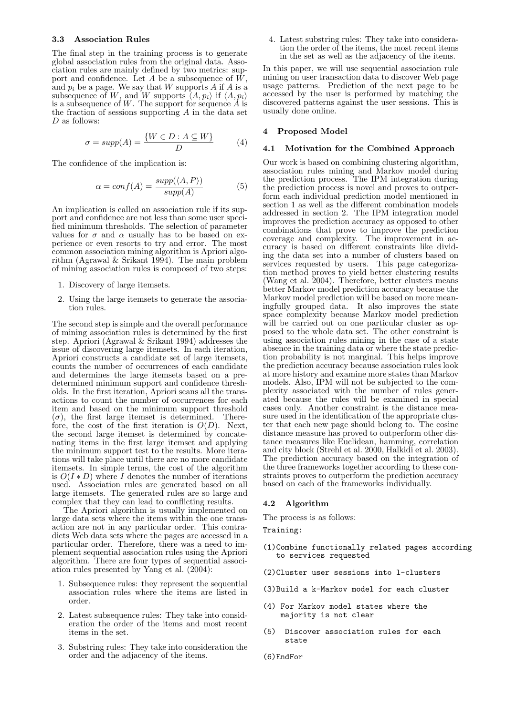#### 3.3 Association Rules

The final step in the training process is to generate global association rules from the original data. Association rules are mainly defined by two metrics: support and confidence. Let A be a subsequence of  $\tilde{W}$ , and  $p_i$  be a page. We say that W supports A if A is a subsequence of W, and W supports  $\langle A, p_i \rangle$  if  $\langle A, p_i \rangle$ is a subsequence of  $W$ . The support for sequence  $A$  is the fraction of sessions supporting  $A$  in the data set D as follows:

$$
\sigma = supp(A) = \frac{\{W \in D : A \subseteq W\}}{D}
$$
 (4)

The confidence of the implication is:

$$
\alpha = conf(A) = \frac{supp(\langle A, P \rangle)}{supp(A)} \tag{5}
$$

An implication is called an association rule if its support and confidence are not less than some user specified minimum thresholds. The selection of parameter values for  $\sigma$  and  $\alpha$  usually has to be based on experience or even resorts to try and error. The most common association mining algorithm is Apriori algorithm (Agrawal & Srikant 1994). The main problem of mining association rules is composed of two steps:

- 1. Discovery of large itemsets.
- 2. Using the large itemsets to generate the association rules.

The second step is simple and the overall performance of mining association rules is determined by the first step. Apriori (Agrawal & Srikant 1994) addresses the issue of discovering large itemsets. In each iteration, Apriori constructs a candidate set of large itemsets, counts the number of occurrences of each candidate and determines the large itemsets based on a predetermined minimum support and confidence thresholds. In the first iteration, Apriori scans all the transactions to count the number of occurrences for each item and based on the minimum support threshold  $(\sigma)$ , the first large itemset is determined. Therefore, the cost of the first iteration is  $O(D)$ . Next, the second large itemset is determined by concatenating items in the first large itemset and applying the minimum support test to the results. More iterations will take place until there are no more candidate itemsets. In simple terms, the cost of the algorithm is  $O(I*D)$  where I denotes the number of iterations used. Association rules are generated based on all large itemsets. The generated rules are so large and complex that they can lead to conflicting results.

The Apriori algorithm is usually implemented on large data sets where the items within the one transaction are not in any particular order. This contradicts Web data sets where the pages are accessed in a particular order. Therefore, there was a need to implement sequential association rules using the Apriori algorithm. There are four types of sequential association rules presented by Yang et al. (2004):

- 1. Subsequence rules: they represent the sequential association rules where the items are listed in order.
- 2. Latest subsequence rules: They take into consideration the order of the items and most recent items in the set.
- 3. Substring rules: They take into consideration the order and the adjacency of the items.

4. Latest substring rules: They take into consideration the order of the items, the most recent items in the set as well as the adjacency of the items.

In this paper, we will use sequential association rule mining on user transaction data to discover Web page usage patterns. Prediction of the next page to be accessed by the user is performed by matching the discovered patterns against the user sessions. This is usually done online.

# 4 Proposed Model

#### 4.1 Motivation for the Combined Approach

Our work is based on combining clustering algorithm, association rules mining and Markov model during the prediction process. The IPM integration during the prediction process is novel and proves to outperform each individual prediction model mentioned in section 1 as well as the different combination models addressed in section 2. The IPM integration model improves the prediction accuracy as opposed to other combinations that prove to improve the prediction coverage and complexity. The improvement in accuracy is based on different constraints like dividing the data set into a number of clusters based on services requested by users. This page categorization method proves to yield better clustering results (Wang et al. 2004). Therefore, better clusters means better Markov model prediction accuracy because the Markov model prediction will be based on more meaningfully grouped data. It also improves the state space complexity because Markov model prediction will be carried out on one particular cluster as opposed to the whole data set. The other constraint is using association rules mining in the case of a state absence in the training data or where the state prediction probability is not marginal. This helps improve the prediction accuracy because association rules look at more history and examine more states than Markov models. Also, IPM will not be subjected to the complexity associated with the number of rules generated because the rules will be examined in special cases only. Another constraint is the distance measure used in the identification of the appropriate cluster that each new page should belong to. The cosine distance measure has proved to outperform other distance measures like Euclidean, hamming, correlation and city block (Strehl et al. 2000, Halkidi et al. 2003). The prediction accuracy based on the integration of the three frameworks together according to these constraints proves to outperform the prediction accuracy based on each of the frameworks individually.

## 4.2 Algorithm

The process is as follows:

Training:

- (1)Combine functionally related pages according to services requested
- (2)Cluster user sessions into l-clusters
- (3)Build a k-Markov model for each cluster
- (4) For Markov model states where the majority is not clear
- (5) Discover association rules for each state
- (6)EndFor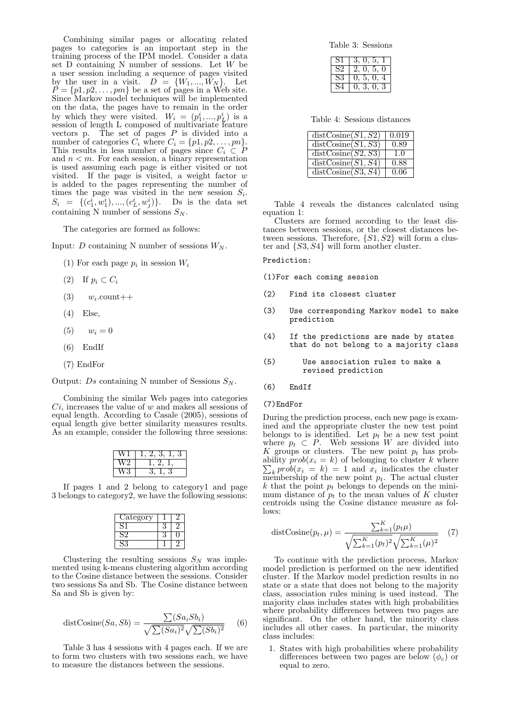Combining similar pages or allocating related pages to categories is an important step in the training process of the IPM model. Consider a data set D containing N number of sessions. Let W be a user session including a sequence of pages visited by the user in a visit.  $D = \{W_1, ..., W_N\}$ . Let  $P = \{p1, p2, \ldots, pm\}$  be a set of pages in a Web site. Since Markov model techniques will be implemented on the data, the pages have to remain in the order by which they were visited.  $W_i = (p_1^i, ..., p_L^i)$  is a session of length L composed of multivariate feature vectors p. The set of pages  $P$  is divided into a number of categories  $C_i$  where  $C_i = \{p1, p2, \ldots, pn\}.$ This results in less number of pages since  $C_i \subset P$ and  $n < m$ . For each session, a binary representation is used assuming each page is either visited or not visited. If the page is visited, a weight factor  $w$ is added to the pages representing the number of times the page was visited in the new session  $S_i$ .  $S_i = \{ (c_1^i, w_1^i), ..., (c_L^i, w_j^i) \}.$  Ds is the data set containing N number of sessions  $S_N$ .

The categories are formed as follows:

Input: D containing N number of sessions  $W_N$ .

- (1) For each page  $p_i$  in session  $W_i$
- (2) If  $p_i \subset C_i$
- $(3)$   $w_i$ .count++
- (4) Else,
- $(v_1 = 0$
- (6) EndIf
- (7) EndFor

Output: Ds containing N number of Sessions  $S_N$ .

Combining the similar Web pages into categories  $Ci$ , increases the value of  $w$  and makes all sessions of equal length. According to Casale (2005), sessions of equal length give better similarity measures results. As an example, consider the following three sessions:

| ∠ |  |
|---|--|
|   |  |

If pages 1 and 2 belong to category1 and page 3 belongs to category2, we have the following sessions:

| Category |  |
|----------|--|
| റ        |  |
|          |  |
|          |  |

Clustering the resulting sessions  $S_N$  was implemented using k-means clustering algorithm according to the Cosine distance between the sessions. Consider two sessions Sa and Sb. The Cosine distance between Sa and Sb is given by:

$$
distCosine(Sa, Sb) = \frac{\sum (Sa_iSb_i)}{\sqrt{\sum (Sa_i)^2} \sqrt{\sum (Sb_i)^2}} \qquad (6)
$$

Table 3 has 4 sessions with 4 pages each. If we are to form two clusters with two sessions each, we have to measure the distances between the sessions.

Table 3: Sessions

| S.    | 5<br>۱۱                          |
|-------|----------------------------------|
| $S_z$ | .5.<br>· )<br>$\mathbf{0},$<br>П |
| S.    | 5 <sub>1</sub><br>$^{\circ}$     |
|       | 3                                |

Table 4: Sessions distances

| distCosine(S1, S2)                     | 0.019 |
|----------------------------------------|-------|
| $\overline{\text{distCosine}}(S1, S3)$ | 0.89  |
| distCosine(S2, S3)                     | 1.0   |
| distCosine(S1, S4)                     | 0.88  |
| distCosine(S3, S4)                     | 0.06  |

Table 4 reveals the distances calculated using equation 1:

Clusters are formed according to the least distances between sessions, or the closest distances between sessions. Therefore,  $\{S1, S2\}$  will form a cluster and {S3, S4} will form another cluster.

Prediction:

(1)For each coming session

- (2) Find its closest cluster
- (3) Use corresponding Markov model to make prediction
- (4) If the predictions are made by states that do not belong to a majority class
- (5) Use association rules to make a revised prediction
- (6) EndIf

#### (7)EndFor

During the prediction process, each new page is examined and the appropriate cluster the new test point belongs to is identified. Let  $p_t$  be a new test point where  $p_t \subset P$ . Web sessions W are divided into K groups or clusters. The new point  $p_t$  has probability  $prob(x_i = k)$  of belonging to cluster k where  $k \text{ prob}(x_i = k) = 1$  and  $x_i$  indicates the cluster membership of the new point  $p_t$ . The actual cluster  $k$  that the point  $p_t$  belongs to depends on the minimum distance of  $p_t$  to the mean values of K cluster centroids using the Cosine distance measure as follows:

distCosine
$$
(p_t, \mu)
$$
 = 
$$
\frac{\sum_{k=1}^{K} (p_t \mu)}{\sqrt{\sum_{k=1}^{K} (p_t)^2} \sqrt{\sum_{k=1}^{K} (\mu)^2}}
$$
 (7)

To continue with the prediction process, Markov model prediction is performed on the new identified cluster. If the Markov model prediction results in no state or a state that does not belong to the majority class, association rules mining is used instead. The majority class includes states with high probabilities where probability differences between two pages are significant. On the other hand, the minority class includes all other cases. In particular, the minority class includes:

1. States with high probabilities where probability differences between two pages are below  $(\phi_c)$  or equal to zero.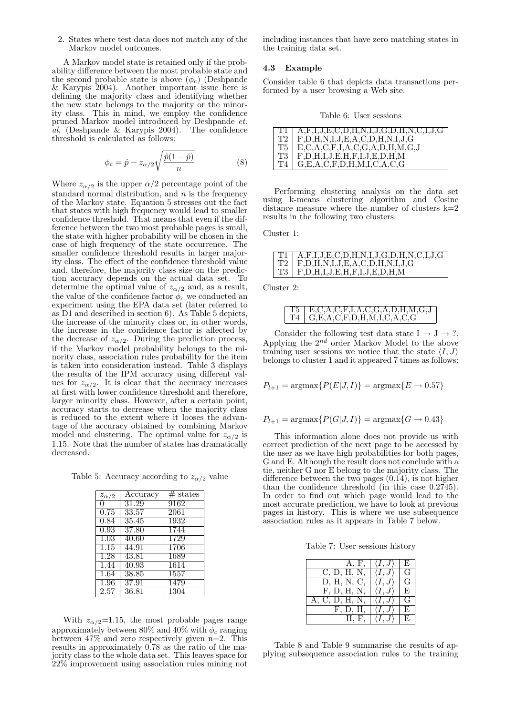2. States where test data does not match any of the Markov model outcomes.

A Markov model state is retained only if the probability difference between the most probable state and the second probable state is above  $(\phi_c)$  (Deshpande & Karypis 2004). Another important issue here is defining the majority class and identifying whether the new state belongs to the majority or the minority class. This in mind, we employ the confidence pruned Markov model introduced by Deshpande et. al, (Deshpande & Karypis 2004). The confidence threshold is calculated as follows:

$$
\phi_c = \hat{p} - z_{\alpha/2} \sqrt{\frac{\hat{p}(1-\hat{p})}{n}} \tag{8}
$$

Where  $z_{\alpha/2}$  is the upper  $\alpha/2$  percentage point of the standard normal distribution, and  $n$  is the frequency of the Markov state. Equation 5 stresses out the fact that states with high frequency would lead to smaller confidence threshold. That means that even if the difference between the two most probable pages is small, the state with higher probability will be chosen in the case of high frequency of the state occurrence. The smaller confidence threshold results in larger majority class. The effect of the confidence threshold value and, therefore, the majority class size on the prediction accuracy depends on the actual data set. To determine the optimal value of  $z_{\alpha/2}$  and, as a result, the value of the confidence factor  $\phi_c$  we conducted an experiment using the EPA data set (later referred to as D1 and described in section 6). As Table 5 depicts, the increase of the minority class or, in other words, the increase in the confidence factor is affected by the decrease of  $z_{\alpha/2}$ . During the prediction process, if the Markov model probability belongs to the minority class, association rules probability for the item is taken into consideration instead. Table 3 displays the results of the IPM accuracy using different values for  $z_{\alpha/2}$ . It is clear that the accuracy increases at first with lower confidence threshold and therefore, larger minority class. However, after a certain point, accuracy starts to decrease when the majority class is reduced to the extent where it looses the advantage of the accuracy obtained by combining Markov model and clustering. The optimal value for  $z_{\alpha/2}$  is 1.15. Note that the number of states has dramatically decreased.

Table 5: Accuracy according to  $z_{\alpha/2}$  value

| $z_{\alpha/2}$ | Accuracy | $#$ states |
|----------------|----------|------------|
| 0              | 31.29    | 9162       |
| 0.75           | 33.57    | 2061       |
| 0.84           | 35.45    | 1932       |
| 0.93           | 37.80    | 1744       |
| 1.03           | 40.60    | 1729       |
| 1.15           | 44.91    | 1706       |
| 1.28           | 43.81    | 1689       |
| 1.44           | 40.93    | 1614       |
| 1.64           | 38.85    | 1557       |
| 1.96           | 37.91    | 1479       |
| 2.57           | 36.81    | 1304       |

With  $z_{\alpha/2}$ =1.15, the most probable pages range approximately between 80% and 40% with  $\phi_c$  ranging between  $47\%$  and zero respectively given n=2. This results in approximately 0.78 as the ratio of the majority class to the whole data set. This leaves space for 22% improvement using association rules mining not including instances that have zero matching states in the training data set.

#### 4.3 Example

Consider table 6 that depicts data transactions performed by a user browsing a Web site.

Table 6: User sessions

| T1   | $A, F, I, J, E, C, D, H, N, I, J, G, D, H, N, C, I, J, G$ |
|------|-----------------------------------------------------------|
| T2 - | $F, D, H, N, I, J, E, A, C, D, H, N, I, J, G$             |
| T5.  | $E, C, A, C, F, I, A, C, G, A, D, H, M, G, J$             |
| T3.  | $F, D, H, I, J, E, H, F, I, J, E, D, H, M$                |
| T4   | G, E, A, C, F, D, H, M, I, C, A, C, G                     |

Performing clustering analysis on the data set using k-means clustering algorithm and Cosine distance measure where the number of clusters  $k=2$ results in the following two clusters:

Cluster 1:

| $TT1$ $A, F, I, J, E, C, D, H, N, I, J, G, D, H, N, C, I, J, G$ |
|-----------------------------------------------------------------|
| $T2$   F,D,H,N,I,J,E,A,C,D,H,N,I,J,G                            |
| $T3$   F,D,H,I,J,E,H,F,I,J,E,D,H,M                              |

Cluster 2:

| T5   E.C.A.C.F.I.A.C.G.A.D.H.M.G.J |
|------------------------------------|
| . I G.E.A.C.F.D.H.M.L.C.A.C.G      |

Consider the following test data state  $I \rightarrow J \rightarrow ?$ . Applying the  $2^{nd}$  order Markov Model to the above training user sessions we notice that the state  $\langle I, J \rangle$ belongs to cluster 1 and it appeared 7 times as follows:

 $P_{l+1} = \text{argmax} \{ P(E|J, I) \} = \text{argmax} \{ E \rightarrow 0.57 \}$ 

 $P_{l+1} = \text{argmax} \{ P(G|J, I) \} = \text{argmax} \{ G \rightarrow 0.43 \}$ 

This information alone does not provide us with correct prediction of the next page to be accessed by the user as we have high probabilities for both pages, G and E. Although the result does not conclude with a tie, neither G nor E belong to the majority class. The difference between the two pages (0.14), is not higher than the confidence threshold (in this case 0.2745). In order to find out which page would lead to the most accurate prediction, we have to look at previous pages in history. This is where we use subsequence association rules as it appears in Table 7 below.

Table 7: User sessions history

| A. F.       | Н) |
|-------------|----|
| C, D, H, N, | G  |
| D, H, N, C, | G  |
| F, D, H, N, | E  |
| C, D, H, N, | G  |
| F, D, H,    | E, |
| H. F.       | E, |

Table 8 and Table 9 summarise the results of applying subsequence association rules to the training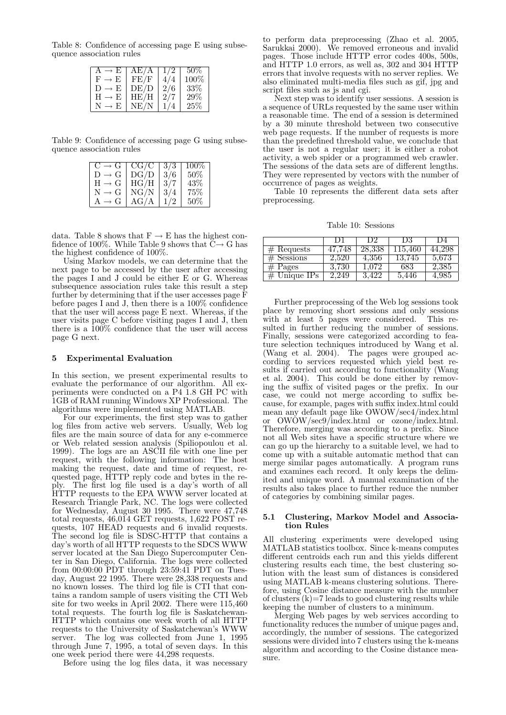Table 8: Confidence of accessing page E using subsequence association rules

| $\rightarrow$ E           | AE/A | 1/2 | 50%    |
|---------------------------|------|-----|--------|
| $F \rightarrow F$         | FE/F |     | 100%   |
| $\rightarrow$ E<br>$\Box$ | DE/D | 2/6 | 33%    |
| $H \rightarrow E$         | HE/H | 2/7 | 29%    |
| - F.                      | NE/N |     | $25\%$ |

Table 9: Confidence of accessing page G using subsequence association rules

| $C \rightarrow G$ | $CG/\overline{C}$ | 3/3 | $100\%$ |
|-------------------|-------------------|-----|---------|
| $D \rightarrow G$ | DG/D              | 3/6 | 50%     |
| $H \to G$         | HG/H              | 3/7 | 43%     |
| $N \rightarrow G$ | ${\rm NG/N}$      | 3/4 | $75\%$  |
| $\rightarrow$ (1  | AG/A              | 1/2 | $50\%$  |

data. Table 8 shows that  $F \to E$  has the highest confidence of 100%. While Table 9 shows that  $C \rightarrow G$  has the highest confidence of 100%.

Using Markov models, we can determine that the next page to be accessed by the user after accessing the pages I and J could be either E or G. Whereas subsequence association rules take this result a step further by determining that if the user accesses page  $\bar{F}$ before pages I and J, then there is a 100% confidence that the user will access page E next. Whereas, if the user visits page C before visiting pages I and J, then there is a 100% confidence that the user will access page G next.

## 5 Experimental Evaluation

In this section, we present experimental results to evaluate the performance of our algorithm. All experiments were conducted on a P4 1.8 GH PC with 1GB of RAM running Windows XP Professional. The algorithms were implemented using MATLAB.

For our experiments, the first step was to gather log files from active web servers. Usually, Web log files are the main source of data for any e-commerce or Web related session analysis (Spiliopoulou et al. 1999). The logs are an ASCII file with one line per request, with the following information: The host making the request, date and time of request, requested page, HTTP reply code and bytes in the reply. The first log file used is a day's worth of all HTTP requests to the EPA WWW server located at Research Triangle Park, NC. The logs were collected for Wednesday, August 30 1995. There were 47,748 total requests, 46,014 GET requests, 1,622 POST requests, 107 HEAD requests and 6 invalid requests. The second log file is SDSC-HTTP that contains a day's worth of all HTTP requests to the SDCS WWW server located at the San Diego Supercomputer Center in San Diego, California. The logs were collected from 00:00:00 PDT through 23:59:41 PDT on Tuesday, August 22 1995. There were 28,338 requests and no known losses. The third log file is CTI that contains a random sample of users visiting the CTI Web site for two weeks in April 2002. There were 115,460 total requests. The fourth log file is Saskatchewan-HTTP which contains one week worth of all HTTP requests to the University of Saskatchewan's WWW server. The log was collected from June 1, 1995 through June 7, 1995, a total of seven days. In this one week period there were 44,298 requests.

Before using the log files data, it was necessary

to perform data preprocessing (Zhao et al. 2005, Sarukkai 2000). We removed erroneous and invalid pages. Those include HTTP error codes 400s, 500s, and HTTP 1.0 errors, as well as, 302 and 304 HTTP errors that involve requests with no server replies. We also eliminated multi-media files such as gif, jpg and script files such as js and cgi.

Next step was to identify user sessions. A session is a sequence of URLs requested by the same user within a reasonable time. The end of a session is determined by a 30 minute threshold between two consecutive web page requests. If the number of requests is more than the predefined threshold value, we conclude that the user is not a regular user; it is either a robot activity, a web spider or a programmed web crawler. The sessions of the data sets are of different lengths. They were represented by vectors with the number of occurrence of pages as weights.

Table 10 represents the different data sets after preprocessing.

Table 10: Sessions

|              | 1.1    | D. 2      | 1)3     | 1)4    |
|--------------|--------|-----------|---------|--------|
| $#$ Requests | 47.748 | 28,338    | 115,460 | 44.298 |
| $#$ Sessions | 2.520  | $4.356\,$ | 13,745  | 5.673  |
| $#$ Pages    | 3.730  | 1 072     | 683     | 2,385  |
| Unique IPs   | 249    |           | 5.446   | 4,985  |

Further preprocessing of the Web log sessions took place by removing short sessions and only sessions with at least 5 pages were considered. This resulted in further reducing the number of sessions. Finally, sessions were categorized according to feature selection techniques introduced by Wang et al. (Wang et al. 2004). The pages were grouped according to services requested which yield best results if carried out according to functionality (Wang et al. 2004). This could be done either by removing the suffix of visited pages or the prefix. In our case, we could not merge according to suffix because, for example, pages with suffix index.html could mean any default page like OWOW/sec4/index.html or OWOW/sec9/index.html or ozone/index.html. Therefore, merging was according to a prefix. Since not all Web sites have a specific structure where we can go up the hierarchy to a suitable level, we had to come up with a suitable automatic method that can merge similar pages automatically. A program runs and examines each record. It only keeps the delimited and unique word. A manual examination of the results also takes place to further reduce the number of categories by combining similar pages.

## 5.1 Clustering, Markov Model and Association Rules

All clustering experiments were developed using MATLAB statistics toolbox. Since k-means computes different centroids each run and this yields different clustering results each time, the best clustering solution with the least sum of distances is considered using MATLAB k-means clustering solutions. Therefore, using Cosine distance measure with the number of clusters  $(k)=7$  leads to good clustering results while keeping the number of clusters to a minimum.

Merging Web pages by web services according to functionality reduces the number of unique pages and, accordingly, the number of sessions. The categorized sessions were divided into 7 clusters using the k-means algorithm and according to the Cosine distance measure.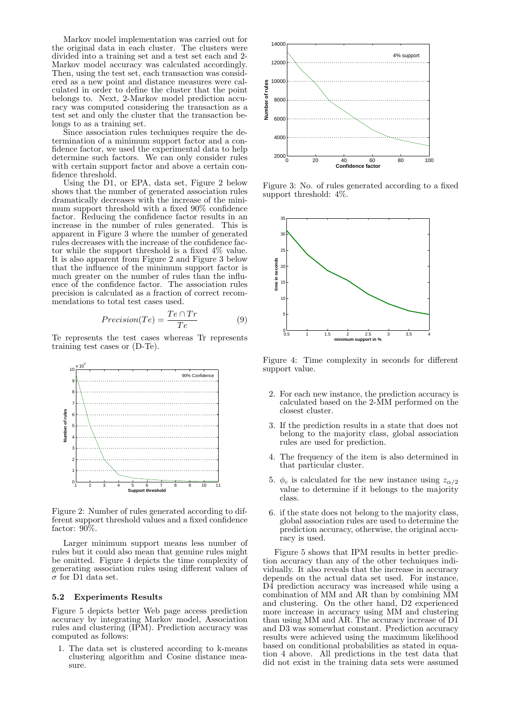Markov model implementation was carried out for the original data in each cluster. The clusters were divided into a training set and a test set each and 2- Markov model accuracy was calculated accordingly. Then, using the test set, each transaction was considered as a new point and distance measures were calculated in order to define the cluster that the point belongs to. Next, 2-Markov model prediction accuracy was computed considering the transaction as a test set and only the cluster that the transaction belongs to as a training set.

Since association rules techniques require the determination of a minimum support factor and a confidence factor, we used the experimental data to help determine such factors. We can only consider rules with certain support factor and above a certain confidence threshold.

Using the D1, or EPA, data set, Figure 2 below shows that the number of generated association rules dramatically decreases with the increase of the minimum support threshold with a fixed 90% confidence factor. Reducing the confidence factor results in an increase in the number of rules generated. This is apparent in Figure 3 where the number of generated rules decreases with the increase of the confidence factor while the support threshold is a fixed 4% value. It is also apparent from Figure 2 and Figure 3 below that the influence of the minimum support factor is much greater on the number of rules than the influence of the confidence factor. The association rules precision is calculated as a fraction of correct recommendations to total test cases used.

$$
Precision(Te) = \frac{Te \cap Tr}{Te}
$$
 (9)

Te represents the test cases whereas Tr represents training test cases or (D-Te).



Figure 2: Number of rules generated according to different support threshold values and a fixed confidence factor: 90%.

Larger minimum support means less number of rules but it could also mean that genuine rules might be omitted. Figure 4 depicts the time complexity of generating association rules using different values of  $\sigma$  for D1 data set.

#### 5.2 Experiments Results

Figure 5 depicts better Web page access prediction accuracy by integrating Markov model, Association rules and clustering (IPM). Prediction accuracy was computed as follows:

1. The data set is clustered according to k-means clustering algorithm and Cosine distance measure.



Figure 3: No. of rules generated according to a fixed support threshold: 4%.



Figure 4: Time complexity in seconds for different support value.

- 2. For each new instance, the prediction accuracy is calculated based on the 2-MM performed on the closest cluster.
- 3. If the prediction results in a state that does not belong to the majority class, global association rules are used for prediction.
- 4. The frequency of the item is also determined in that particular cluster.
- 5.  $\phi_c$  is calculated for the new instance using  $z_{\alpha/2}$ value to determine if it belongs to the majority class.
- 6. if the state does not belong to the majority class, global association rules are used to determine the prediction accuracy, otherwise, the original accuracy is used.

Figure 5 shows that IPM results in better prediction accuracy than any of the other techniques individually. It also reveals that the increase in accuracy depends on the actual data set used. For instance, D4 prediction accuracy was increased while using a combination of MM and AR than by combining MM and clustering. On the other hand, D2 experienced more increase in accuracy using MM and clustering than using MM and AR. The accuracy increase of  $D\tilde{1}$ and D3 was somewhat constant. Prediction accuracy results were achieved using the maximum likelihood based on conditional probabilities as stated in equation 4 above. All predictions in the test data that did not exist in the training data sets were assumed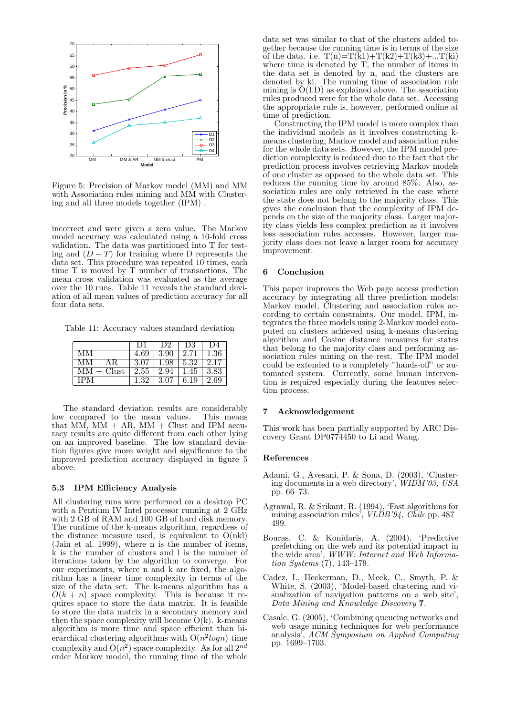

Figure 5: Precision of Markov model (MM) and MM with Association rules mining and MM with Clustering and all three models together (IPM) .

incorrect and were given a zero value. The Markov model accuracy was calculated using a 10-fold cross validation. The data was partitioned into T for testing and  $(D-T)$  for training where D represents the data set. This procedure was repeated 10 times, each time T is moved by T number of transactions. The mean cross validation was evaluated as the average over the 10 runs. Table 11 reveals the standard deviation of all mean values of prediction accuracy for all four data sets.

Table 11: Accuracy values standard deviation

|              |                           |                                             | 1)2 1 1)3 1 1)4 |  |
|--------------|---------------------------|---------------------------------------------|-----------------|--|
| -MM          | 4.69                      | 3.90   2.71   1.36                          |                 |  |
| $MM + AR$    | 3.07   1.98   5.32   2.17 |                                             |                 |  |
| $MM + Clust$ |                           | $2.55 \pm 2.94 \pm 1.45 \pm 3.83$           |                 |  |
| TPM.         |                           | $1.32$   $3.07$   $6.19$ $\overline{)2.69}$ |                 |  |

The standard deviation results are considerably low compared to the mean values. This means that MM,  $MM + AR$ , MM + Clust and IPM accuracy results are quite different from each other lying on an improved baseline. The low standard deviation figures give more weight and significance to the improved prediction accuracy displayed in figure 5 above.

# 5.3 IPM Efficiency Analysis

All clustering runs were performed on a desktop PC with a Pentium IV Intel processor running at 2 GHz with 2 GB of RAM and 100 GB of hard disk memory. The runtime of the k-means algorithm, regardless of the distance measure used, is equivalent to  $O(nkl)$ (Jain et al. 1999), where n is the number of items,  $\hat{k}$  is the number of clusters and l is the number of iterations taken by the algorithm to converge. For our experiments, where n and k are fixed, the algorithm has a linear time complexity in terms of the size of the data set. The k-means algorithm has a  $O(k + n)$  space complexity. This is because it requires space to store the data matrix. It is feasible to store the data matrix in a secondary memory and then the space complexity will become  $O(k)$ . k-means algorithm is more time and space efficient than hierarchical clustering algorithms with  $O(n^2 \log n)$  time complexity and  $O(n^2)$  space complexity. As for all  $2^{nd}$ order Markov model, the running time of the whole data set was similar to that of the clusters added together because the running time is in terms of the size of the data. i.e.  $T(n)=T(k1)+T(k2)+T(k3)+...T(ki)$ where time is denoted by T, the number of items in the data set is denoted by n, and the clusters are denoted by ki. The running time of association rule mining is  $\ddot{O}(I.D)$  as explained above. The association rules produced were for the whole data set. Accessing the appropriate rule is, however, performed online at time of prediction.

Constructing the IPM model is more complex than the individual models as it involves constructing kmeans clustering, Markov model and association rules for the whole data sets. However, the IPM model prediction complexity is reduced due to the fact that the prediction process involves retrieving Markov models of one cluster as opposed to the whole data set. This reduces the running time by around 85%. Also, association rules are only retrieved in the case where the state does not belong to the majority class. This gives the conclusion that the complexity of IPM depends on the size of the majority class. Larger majority class yields less complex prediction as it involves less association rules accesses. However, larger majority class does not leave a larger room for accuracy improvement.

# 6 Conclusion

This paper improves the Web page access prediction accuracy by integrating all three prediction models: Markov model, Clustering and association rules according to certain constraints. Our model, IPM, integrates the three models using 2-Markov model computed on clusters achieved using k-means clustering algorithm and Cosine distance measures for states that belong to the majority class and performing association rules mining on the rest. The IPM model could be extended to a completely "hands-off" or automated system. Currently, some human intervention is required especially during the features selection process.

## 7 Acknowledgement

This work has been partially supported by ARC Discovery Grant DP0774450 to Li and Wang.

#### References

- Adami, G., Avesani, P. & Sona, D. (2003), 'Clustering documents in a web directory', WIDM'03, USA pp. 66–73.
- Agrawal, R. & Srikant, R. (1994), 'Fast algorithms for mining association rules',  $VLDB'94$ , Chile pp. 487– 499.
- Bouras, C. & Konidaris, A. (2004), 'Predictive prefetching on the web and its potential impact in the wide area', WWW: Internet and Web Information Systems (7), 143–179.
- Cadez, I., Heckerman, D., Meek, C., Smyth, P. & White, S. (2003), 'Model-based clustering and visualization of navigation patterns on a web site', Data Mining and Knowledge Discovery 7.
- Casale, G. (2005), 'Combining queueing networks and web usage mining techniques for web performance analysis', ACM Symposium on Applied Computing pp. 1699–1703.